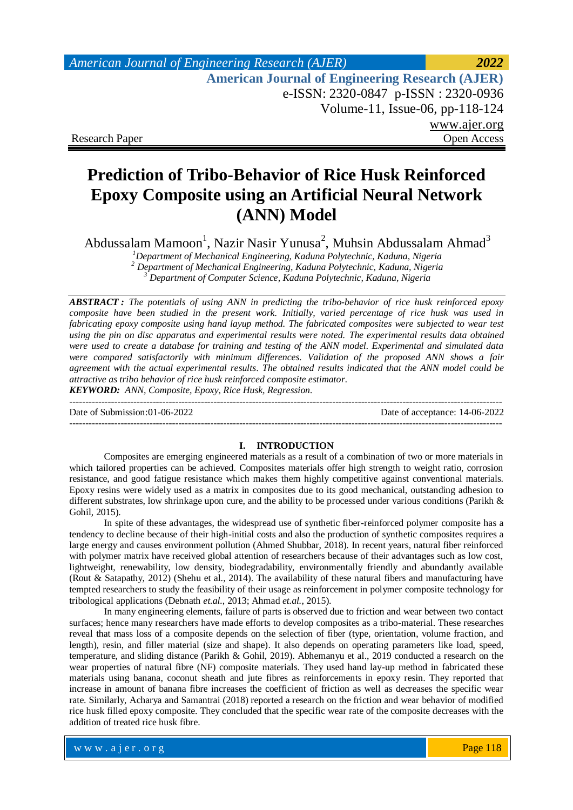# *American Journal of Engineering Research (AJER) 2022*  **American Journal of Engineering Research (AJER)** e-ISSN: 2320-0847 p-ISSN : 2320-0936 Volume-11, Issue-06, pp-118-124 www.ajer.org Research Paper Open Access

# **Prediction of Tribo-Behavior of Rice Husk Reinforced Epoxy Composite using an Artificial Neural Network (ANN) Model**

Abdussalam Mamoon<sup>1</sup>, Nazir Nasir Yunusa<sup>2</sup>, Muhsin Abdussalam Ahmad<sup>3</sup>

*<sup>1</sup>Department of Mechanical Engineering, Kaduna Polytechnic, Kaduna, Nigeria <sup>2</sup> Department of Mechanical Engineering, Kaduna Polytechnic, Kaduna, Nigeria*

*<sup>3</sup> Department of Computer Science, Kaduna Polytechnic, Kaduna, Nigeria*

*ABSTRACT : The potentials of using ANN in predicting the tribo-behavior of rice husk reinforced epoxy composite have been studied in the present work. Initially, varied percentage of rice husk was used in fabricating epoxy composite using hand layup method. The fabricated composites were subjected to wear test using the pin on disc apparatus and experimental results were noted. The experimental results data obtained were used to create a database for training and testing of the ANN model. Experimental and simulated data were compared satisfactorily with minimum differences. Validation of the proposed ANN shows a fair agreement with the actual experimental results. The obtained results indicated that the ANN model could be attractive as tribo behavior of rice husk reinforced composite estimator.*

*KEYWORD: ANN, Composite, Epoxy, Rice Husk, Regression.* ---------------------------------------------------------------------------------------------------------------------------------------

Date of Submission:01-06-2022 Date of acceptance: 14-06-2022

### **I. INTRODUCTION**

---------------------------------------------------------------------------------------------------------------------------------------

Composites are emerging engineered materials as a result of a combination of two or more materials in which tailored properties can be achieved. Composites materials offer high strength to weight ratio, corrosion resistance, and good fatigue resistance which makes them highly competitive against conventional materials. Epoxy resins were widely used as a matrix in composites due to its good mechanical, outstanding adhesion to different substrates, low shrinkage upon cure, and the ability to be processed under various conditions (Parikh & Gohil, 2015).

In spite of these advantages, the widespread use of synthetic fiber-reinforced polymer composite has a tendency to decline because of their high-initial costs and also the production of synthetic composites requires a large energy and causes environment pollution (Ahmed Shubbar, 2018). In recent years, natural fiber reinforced with polymer matrix have received global attention of researchers because of their advantages such as low cost, lightweight, renewability, low density, biodegradability, environmentally friendly and abundantly available (Rout & Satapathy, 2012) (Shehu et al., 2014). The availability of these natural fibers and manufacturing have tempted researchers to study the feasibility of their usage as reinforcement in polymer composite technology for tribological applications (Debnath *et.al.*, 2013; Ahmad *et.al.*, 2015).

In many engineering elements, failure of parts is observed due to friction and wear between two contact surfaces; hence many researchers have made efforts to develop composites as a tribo-material. These researches reveal that mass loss of a composite depends on the selection of fiber (type, orientation, volume fraction, and length), resin, and filler material (size and shape). It also depends on operating parameters like load, speed, temperature, and sliding distance (Parikh & Gohil, 2019). Abhemanyu et al., 2019 conducted a research on the wear properties of natural fibre (NF) composite materials. They used hand lay-up method in fabricated these materials using banana, coconut sheath and jute fibres as reinforcements in epoxy resin. They reported that increase in amount of banana fibre increases the coefficient of friction as well as decreases the specific wear rate. Similarly, Acharya and Samantrai (2018) reported a research on the friction and wear behavior of modified rice husk filled epoxy composite. They concluded that the specific wear rate of the composite decreases with the addition of treated rice husk fibre.

Page 118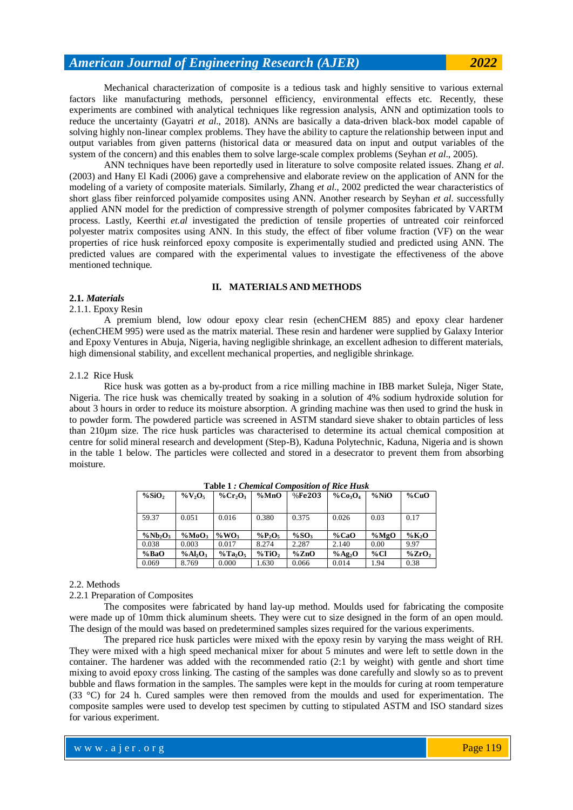Mechanical characterization of composite is a tedious task and highly sensitive to various external factors like manufacturing methods, personnel efficiency, environmental effects etc. Recently, these experiments are combined with analytical techniques like regression analysis, ANN and optimization tools to reduce the uncertainty (Gayatri *et al*., 2018). ANNs are basically a data-driven black-box model capable of solving highly non-linear complex problems. They have the ability to capture the relationship between input and output variables from given patterns (historical data or measured data on input and output variables of the system of the concern) and this enables them to solve large-scale complex problems (Seyhan *et al*., 2005).

ANN techniques have been reportedly used in literature to solve composite related issues. Zhang *et al*. (2003) and Hany El Kadi (2006) gave a comprehensive and elaborate review on the application of ANN for the modeling of a variety of composite materials. Similarly, Zhang *et al*., 2002 predicted the wear characteristics of short glass fiber reinforced polyamide composites using ANN. Another research by Seyhan *et al*. successfully applied ANN model for the prediction of compressive strength of polymer composites fabricated by VARTM process. Lastly, Keerthi *et.al* investigated the prediction of tensile properties of untreated coir reinforced polyester matrix composites using ANN. In this study, the effect of fiber volume fraction (VF) on the wear properties of rice husk reinforced epoxy composite is experimentally studied and predicted using ANN. The predicted values are compared with the experimental values to investigate the effectiveness of the above mentioned technique.

## **II. MATERIALS AND METHODS**

# **2.1.** *Materials*

## 2.1.1. Epoxy Resin

A premium blend, low odour epoxy clear resin (echenCHEM 885) and epoxy clear hardener (echenCHEM 995) were used as the matrix material. These resin and hardener were supplied by Galaxy Interior and Epoxy Ventures in Abuja, Nigeria, having negligible shrinkage, an excellent adhesion to different materials, high dimensional stability, and excellent mechanical properties, and negligible shrinkage.

## 2.1.2 Rice Husk

Rice husk was gotten as a by-product from a rice milling machine in IBB market Suleja, Niger State, Nigeria. The rice husk was chemically treated by soaking in a solution of 4% sodium hydroxide solution for about 3 hours in order to reduce its moisture absorption. A grinding machine was then used to grind the husk in to powder form. The powdered particle was screened in ASTM standard sieve shaker to obtain particles of less than 210µm size. The rice husk particles was characterised to determine its actual chemical composition at centre for solid mineral research and development (Step-B), Kaduna Polytechnic, Kaduna, Nigeria and is shown in the table 1 below. The particles were collected and stored in a desecrator to prevent them from absorbing moisture.

| $\%$ SiO <sub>2</sub> | $\%V_2O_5$                      | % $Cr_2O_3$                         | %MnO              | %Fe2O3   | $\%Co_3O_4$ | %NiO | $\%$ CuO              |  |
|-----------------------|---------------------------------|-------------------------------------|-------------------|----------|-------------|------|-----------------------|--|
|                       |                                 |                                     |                   |          |             |      |                       |  |
| 59.37                 | 0.051                           | 0.016                               | 0.380             | 0.375    | 0.026       | 0.03 | 0.17                  |  |
|                       |                                 |                                     |                   |          |             |      |                       |  |
|                       |                                 |                                     |                   |          |             |      |                       |  |
| $\%Nb_2O_3$           | %MoO <sub>3</sub>               | $\%$ WO <sub>3</sub>                | $\%P_2O_5$        | $\%SO_3$ | $\%$ CaO    | %MgO | $\%K_2O$              |  |
| 0.038                 | 0.003                           | 0.017                               | 8.274             | 2.287    | 2.140       | 0.00 | 9.97                  |  |
| % BaO                 | %Al <sub>2</sub> O <sub>3</sub> | $\%$ Ta <sub>2</sub> O <sub>5</sub> | %TiO <sub>2</sub> | $\%$ ZnO | % $Ag_2O$   | %CI  | $\%$ ZrO <sub>2</sub> |  |

**Table 1** *: Chemical Composition of Rice Husk*

#### 2.2. Methods

2.2.1 Preparation of Composites

The composites were fabricated by hand lay-up method. Moulds used for fabricating the composite were made up of 10mm thick aluminum sheets. They were cut to size designed in the form of an open mould. The design of the mould was based on predetermined samples sizes required for the various experiments.

The prepared rice husk particles were mixed with the epoxy resin by varying the mass weight of RH. They were mixed with a high speed mechanical mixer for about 5 minutes and were left to settle down in the container. The hardener was added with the recommended ratio (2:1 by weight) with gentle and short time mixing to avoid epoxy cross linking. The casting of the samples was done carefully and slowly so as to prevent bubble and flaws formation in the samples. The samples were kept in the moulds for curing at room temperature (33 °C) for 24 h. Cured samples were then removed from the moulds and used for experimentation. The composite samples were used to develop test specimen by cutting to stipulated ASTM and ISO standard sizes for various experiment.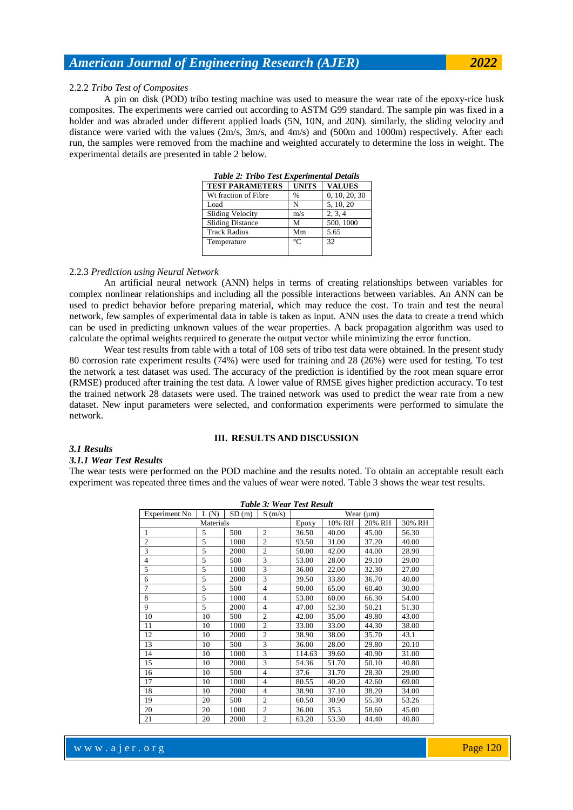#### 2.2.2 *Tribo Test of Composites*

A pin on disk (POD) tribo testing machine was used to measure the wear rate of the epoxy-rice husk composites. The experiments were carried out according to ASTM G99 standard. The sample pin was fixed in a holder and was abraded under different applied loads (5N, 10N, and 20N). similarly, the sliding velocity and distance were varied with the values (2m/s, 3m/s, and 4m/s) and (500m and 1000m) respectively. After each run, the samples were removed from the machine and weighted accurately to determine the loss in weight. The experimental details are presented in table 2 below.

|                         | Two w = Those Ten Davou alleged to be the se |               |  |  |  |  |  |  |  |  |
|-------------------------|----------------------------------------------|---------------|--|--|--|--|--|--|--|--|
| <b>TEST PARAMETERS</b>  | <b>UNITS</b>                                 | <b>VALUES</b> |  |  |  |  |  |  |  |  |
| Wt fraction of Fibre    | %                                            | 0, 10, 20, 30 |  |  |  |  |  |  |  |  |
| Load                    | N                                            | 5, 10, 20     |  |  |  |  |  |  |  |  |
| Sliding Velocity        | m/s                                          | 2, 3, 4       |  |  |  |  |  |  |  |  |
| <b>Sliding Distance</b> | М                                            | 500, 1000     |  |  |  |  |  |  |  |  |
| <b>Track Radius</b>     | Mm                                           | 5.65          |  |  |  |  |  |  |  |  |
| Temperature             | $\circ$ C                                    | 32            |  |  |  |  |  |  |  |  |
|                         |                                              |               |  |  |  |  |  |  |  |  |

*Table 2: Tribo Test Experimental Details*

### 2.2.3 *Prediction using Neural Network*

An artificial neural network (ANN) helps in terms of creating relationships between variables for complex nonlinear relationships and including all the possible interactions between variables. An ANN can be used to predict behavior before preparing material, which may reduce the cost. To train and test the neural network, few samples of experimental data in table is taken as input. ANN uses the data to create a trend which can be used in predicting unknown values of the wear properties. A back propagation algorithm was used to calculate the optimal weights required to generate the output vector while minimizing the error function.

Wear test results from table with a total of 108 sets of tribo test data were obtained. In the present study 80 corrosion rate experiment results (74%) were used for training and 28 (26%) were used for testing. To test the network a test dataset was used. The accuracy of the prediction is identified by the root mean square error (RMSE) produced after training the test data. A lower value of RMSE gives higher prediction accuracy. To test the trained network 28 datasets were used. The trained network was used to predict the wear rate from a new dataset. New input parameters were selected, and conformation experiments were performed to simulate the network.

## **III. RESULTS AND DISCUSSION**

## *3.1 Results*

#### *3.1.1 Wear Test Results*

The wear tests were performed on the POD machine and the results noted. To obtain an acceptable result each experiment was repeated three times and the values of wear were noted. Table 3 shows the wear test results.

| <b>Table 3: Wear Test Result</b> |       |        |                |        |       |       |       |  |  |
|----------------------------------|-------|--------|----------------|--------|-------|-------|-------|--|--|
| Experiment No                    | L(N)  | SD(m)  | Wear $(\mu m)$ |        |       |       |       |  |  |
|                                  | Epoxy | 10% RH | 20% RH         | 30% RH |       |       |       |  |  |
| 1                                | 5     | 500    | $\overline{2}$ | 36.50  | 40.00 | 45.00 | 56.30 |  |  |
| $\overline{2}$                   | 5     | 1000   | $\overline{2}$ | 93.50  | 31.00 | 37.20 | 40.00 |  |  |
| 3                                | 5     | 2000   | $\overline{2}$ | 50.00  | 42.00 | 44.00 | 28.90 |  |  |
| $\overline{4}$                   | 5     | 500    | 3              | 53.00  | 28.00 | 29.10 | 29.00 |  |  |
| 5                                | 5     | 1000   | 3              | 36.00  | 22.00 | 32.30 | 27.00 |  |  |
| 6                                | 5     | 2000   | 3              | 39.50  | 33.80 | 36.70 | 40.00 |  |  |
| $\overline{7}$                   | 5     | 500    | $\overline{4}$ | 90.00  | 65.00 | 60.40 | 30.00 |  |  |
| 8                                | 5     | 1000   | $\overline{4}$ | 53.00  | 60.00 | 66.30 | 54.00 |  |  |
| 9                                | 5     | 2000   | $\overline{4}$ | 47.00  | 52.30 | 50.21 | 51.30 |  |  |
| 10                               | 10    | 500    | $\overline{c}$ | 42.00  | 35.00 | 49.80 | 43.00 |  |  |
| 11                               | 10    | 1000   | $\overline{c}$ | 33.00  | 33.00 | 44.30 | 38.00 |  |  |
| 12                               | 10    | 2000   | $\overline{2}$ | 38.90  | 38.00 | 35.70 | 43.1  |  |  |
| 13                               | 10    | 500    | 3              | 36.00  | 28.00 | 29.80 | 20.10 |  |  |
| 14                               | 10    | 1000   | 3              | 114.63 | 39.60 | 40.90 | 31.00 |  |  |
| 15                               | 10    | 2000   | 3              | 54.36  | 51.70 | 50.10 | 40.80 |  |  |
| 16                               | 10    | 500    | $\overline{4}$ | 37.6   | 31.70 | 28.30 | 29.00 |  |  |
| 17                               | 10    | 1000   | $\overline{4}$ | 80.55  | 40.20 | 42.60 | 69.00 |  |  |
| 18                               | 10    | 2000   | $\overline{4}$ | 38.90  | 37.10 | 38.20 | 34.00 |  |  |
| 19                               | 20    | 500    | $\overline{2}$ | 60.50  | 30.90 | 55.30 | 53.26 |  |  |
| 20                               | 20    | 1000   | $\overline{2}$ | 36.00  | 35.3  | 58.60 | 45.00 |  |  |
| 21                               | 20    | 2000   | $\overline{2}$ | 63.20  | 53.30 | 44.40 | 40.80 |  |  |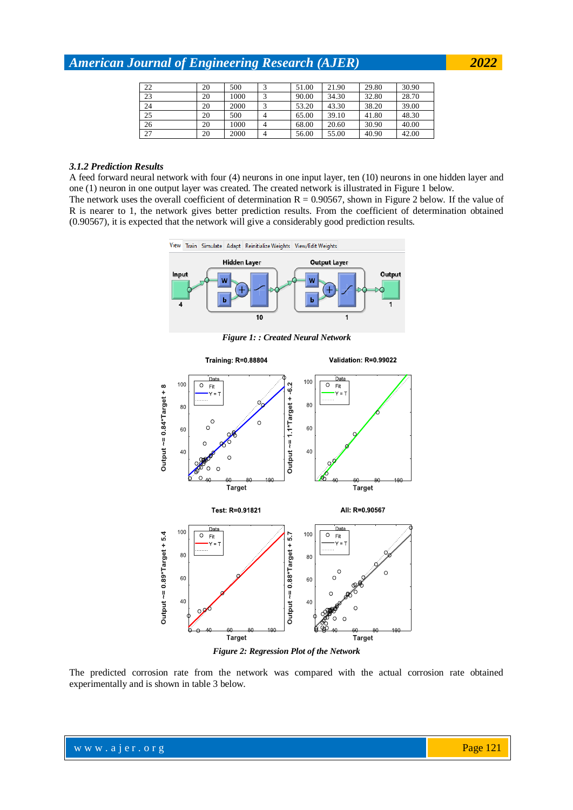| 22 | 20 | 500  | 51.00 | 21.90 | 29.80 | 30.90 |
|----|----|------|-------|-------|-------|-------|
| 23 | 20 | 1000 | 90.00 | 34.30 | 32.80 | 28.70 |
| 24 | 20 | 2000 | 53.20 | 43.30 | 38.20 | 39.00 |
| 25 | 20 | 500  | 65.00 | 39.10 | 41.80 | 48.30 |
| 26 | 20 | 1000 | 68.00 | 20.60 | 30.90 | 40.00 |
| 27 | 20 | 2000 | 56.00 | 55.00 | 40.90 | 42.00 |

# *3.1.2 Prediction Results*

A feed forward neural network with four (4) neurons in one input layer, ten (10) neurons in one hidden layer and one (1) neuron in one output layer was created. The created network is illustrated in Figure 1 below.

The network uses the overall coefficient of determination  $R = 0.90567$ , shown in Figure 2 below. If the value of R is nearer to 1, the network gives better prediction results. From the coefficient of determination obtained (0.90567), it is expected that the network will give a considerably good prediction results.



*Figure 2: Regression Plot of the Network*

The predicted corrosion rate from the network was compared with the actual corrosion rate obtained experimentally and is shown in table 3 below.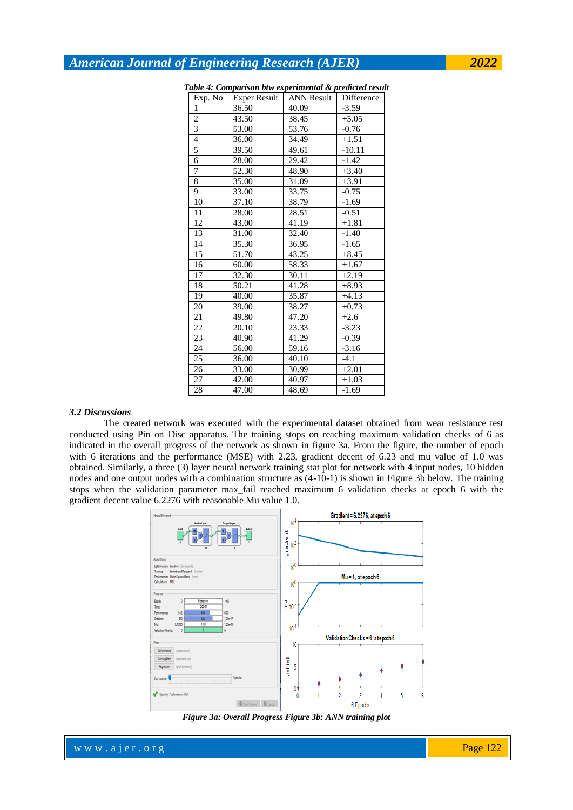| Exp. No        | <b>Exper Result</b> | <b>ANN Result</b> | Difference |
|----------------|---------------------|-------------------|------------|
| 1              | 36.50               | 40.09             | $-3.59$    |
| $\overline{c}$ | 43.50               | 38.45             | $+5.05$    |
| 3              | 53.00               | 53.76             | $-0.76$    |
| $\overline{4}$ | 36.00               | 34.49             | $+1.51$    |
| 5              | 39.50               | 49.61             | $-10.11$   |
| $\overline{6}$ | 28.00               | 29.42             | $-1.42$    |
| 7              | 52.30               | 48.90             | $+3.40$    |
| 8              | 35.00               | 31.09             | $+3.91$    |
| 9              | 33.00               | 33.75             | $-0.75$    |
| 10             | 37.10               | 38.79             | $-1.69$    |
| 11             | 28.00               | 28.51             | $-0.51$    |
| 12             | 43.00               | 41.19             | $+1.81$    |
| 13             | 31.00               | 32.40             | $-1.40$    |
| 14             | 35.30               | 36.95             | $-1.65$    |
| 15             | 51.70               | 43.25             | $+8.45$    |
| 16             | 60.00               | 58.33             | $+1.67$    |
| 17             | 32.30               | 30.11             | $+2.19$    |
| 18             | 50.21               | 41.28             | $+8.93$    |
| 19             | 40.00               | 35.87             | $+4.13$    |
| 20             | 39.00               | 38.27             | $+0.73$    |
| 21             | 49.80               | 47.20             | $+2.6$     |
| 22             | 20.10               | 23.33             | $-3.23$    |
| 23             | 40.90               | 41.29             | $-0.39$    |
| 24             | 56.00               | 59.16             | $-3.16$    |
| 25             | 36.00               | 40.10             | $-4.1$     |
| 26             | 33.00               | 30.99             | $+2.01$    |
| 27             | 42.00               | 40.97             | $+1.03$    |
| 28             | 47.00               | 48.69             | $-1.69$    |

|  |  |  |  |  | Table 4: Comparison btw experimental & predicted result |  |  |
|--|--|--|--|--|---------------------------------------------------------|--|--|
|  |  |  |  |  |                                                         |  |  |

#### *3.2 Discussions*

The created network was executed with the experimental dataset obtained from wear resistance test conducted using Pin on Disc apparatus. The training stops on reaching maximum validation checks of 6 as indicated in the overall progress of the network as shown in figure 3a. From the figure, the number of epoch with 6 iterations and the performance (MSE) with 2.23, gradient decent of 6.23 and mu value of 1.0 was obtained. Similarly, a three (3) layer neural network training stat plot for network with 4 input nodes, 10 hidden nodes and one output nodes with a combination structure as (4-10-1) is shown in Figure 3b below. The training stops when the validation parameter max\_fail reached maximum 6 validation checks at epoch 6 with the gradient decent value 6.2276 with reasonable Mu value 1.0.





www.ajer.org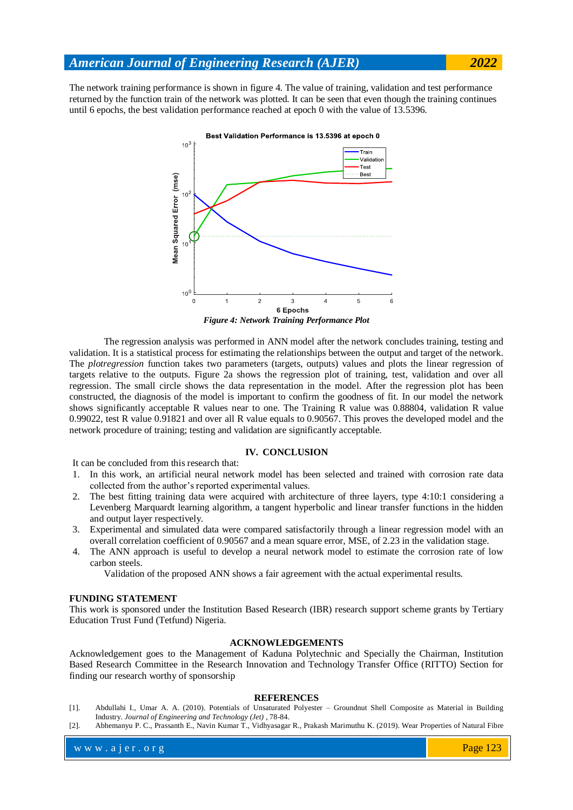The network training performance is shown in figure 4. The value of training, validation and test performance returned by the function train of the network was plotted. It can be seen that even though the training continues until 6 epochs, the best validation performance reached at epoch 0 with the value of 13.5396.



*Figure 4: Network Training Performance Plot*

The regression analysis was performed in ANN model after the network concludes training, testing and validation. It is a statistical process for estimating the relationships between the output and target of the network. The *plotregression* function takes two parameters (targets, outputs) values and plots the linear regression of targets relative to the outputs. Figure 2a shows the regression plot of training, test, validation and over all regression. The small circle shows the data representation in the model. After the regression plot has been constructed, the diagnosis of the model is important to confirm the goodness of fit. In our model the network shows significantly acceptable R values near to one. The Training R value was 0.88804, validation R value 0.99022, test R value 0.91821 and over all R value equals to 0.90567. This proves the developed model and the network procedure of training; testing and validation are significantly acceptable.

#### **IV. CONCLUSION**

It can be concluded from this research that:

- 1. In this work, an artificial neural network model has been selected and trained with corrosion rate data collected from the author's reported experimental values.
- 2. The best fitting training data were acquired with architecture of three layers, type 4:10:1 considering a Levenberg Marquardt learning algorithm, a tangent hyperbolic and linear transfer functions in the hidden and output layer respectively.
- 3. Experimental and simulated data were compared satisfactorily through a linear regression model with an overall correlation coefficient of 0.90567 and a mean square error, MSE, of 2.23 in the validation stage.
- 4. The ANN approach is useful to develop a neural network model to estimate the corrosion rate of low carbon steels.

Validation of the proposed ANN shows a fair agreement with the actual experimental results.

## **FUNDING STATEMENT**

This work is sponsored under the Institution Based Research (IBR) research support scheme grants by Tertiary Education Trust Fund (Tetfund) Nigeria.

#### **ACKNOWLEDGEMENTS**

Acknowledgement goes to the Management of Kaduna Polytechnic and Specially the Chairman, Institution Based Research Committee in the Research Innovation and Technology Transfer Office (RITTO) Section for finding our research worthy of sponsorship

#### **REFERENCES**

- [1]. Abdullahi I., Umar A. A. (2010). Potentials of Unsaturated Polyester Groundnut Shell Composite as Material in Building Industry. *Journal of Engineering and Technology (Jet)* , 78-84.
- [2]. Abhemanyu P. C., Prassanth E., Navin Kumar T., Vidhyasagar R., Prakash Marimuthu K. (2019). Wear Properties of Natural Fibre

www.ajer.org